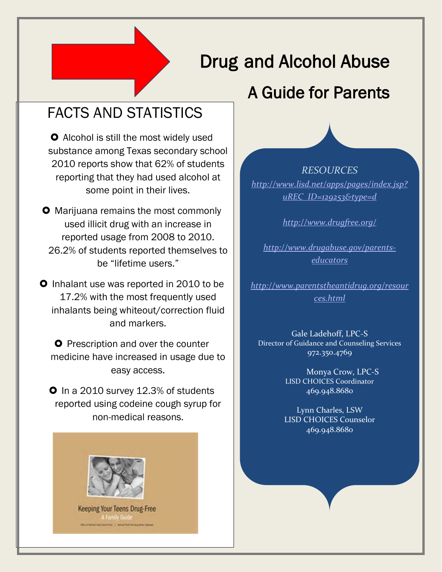# Drug and Alcohol Abuse

 $\overline{\phantom{a}}$ 

## A Guide for Parents

### FACTS AND STATISTICS

substance among Texas secondary school **O** Alcohol is still the most widely used 2010 reports show that 62% of students reporting that they had used alcohol at some point in their lives.

**O** Marijuana remains the most commonly used illicit drug with an increase in reported usage from 2008 to 2010. 26.2% of students reported themselves to be "lifetime users."

**O** Inhalant use was reported in 2010 to be 17.2% with the most frequently used inhalants being whiteout/correction fluid and markers.

**O** Prescription and over the counter medicine have increased in usage due to easy access.

**O** In a 2010 survey 12.3% of students reported using codeine cough syrup for non-medical reasons.



Keeping Your Teens Drug-Free

*RESOURCES [http://www.lisd.net/apps/pages/index.jsp?](http://www.lisd.net/apps/pages/index.jsp?uREC_ID=129253&type=d) [uREC\\_ID=129253&type=d](http://www.lisd.net/apps/pages/index.jsp?uREC_ID=129253&type=d)*

*<http://www.drugfree.org/>*

*[http://www.drugabuse.gov/parents](http://www.drugabuse.gov/parents-educators)[educators](http://www.drugabuse.gov/parents-educators)*

*[http://www.parentstheantidrug.org/resour](http://www.parentstheantidrug.org/resources.html) [ces.html](http://www.parentstheantidrug.org/resources.html)*

Gale Ladehoff, LPC-S Director of Guidance and Counseling Services 972.350.4769

> Monya Crow, LPC-S LISD CHOICES Coordinator 469.948.8680

Lynn Charles, LSW LISD CHOICES Counselor 469.948.8680